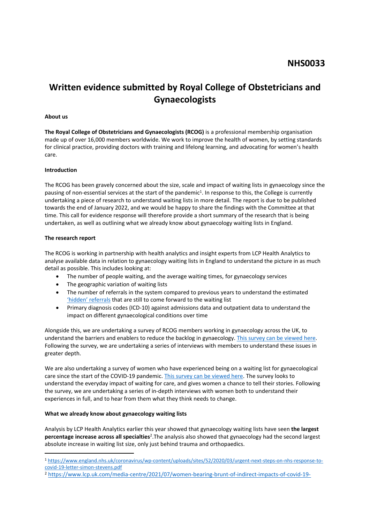# **Written evidence submitted by Royal College of Obstetricians and Gynaecologists**

#### **About us**

**The Royal College of Obstetricians and Gynaecologists (RCOG)** is a professional membership organisation made up of over 16,000 members worldwide. We work to improve the health of women, by setting standards for clinical practice, providing doctors with training and lifelong learning, and advocating for women's health care.

#### **Introduction**

The RCOG has been gravely concerned about the size, scale and impact of waiting lists in gynaecology since the pausing of non-essential services at the start of the pandemic<sup>1</sup>. In response to this, the College is currently undertaking a piece of research to understand waiting lists in more detail. The report is due to be published towards the end of January 2022, and we would be happy to share the findings with the Committee at that time. This call for evidence response will therefore provide a short summary of the research that is being undertaken, as well as outlining what we already know about gynaecology waiting lists in England.

#### **The research report**

The RCOG is working in partnership with health analytics and insight experts from LCP Health Analytics to analyse available data in relation to gynaecology waiting lists in England to understand the picture in as much detail as possible. This includes looking at:

- The number of people waiting, and the average waiting times, for gynaecology services
- The geographic variation of waiting lists
- The number of referrals in the system compared to previous years to understand the estimated ['hidden'](https://www.lcp.uk.com/media-centre/2021/12/on-point-paper-hidden-health-needs-the-elephant-in-the-nhs-waiting-room/) [referrals](https://www.lcp.uk.com/media-centre/2021/12/on-point-paper-hidden-health-needs-the-elephant-in-the-nhs-waiting-room/) that are still to come forward to the waiting list
- Primary diagnosis codes (ICD-10) against admissions data and outpatient data to understand the impact on different gynaecological conditions over time

Alongside this, we are undertaking a survey of RCOG members working in gynaecology across the UK, to understand the barriers and enablers to reduce the backlog in gynaecology. [This](https://r1.dotdigital-pages.com/p/15N0-T30/gynaecology-waiting-lists-project-members) [survey](https://r1.dotdigital-pages.com/p/15N0-T30/gynaecology-waiting-lists-project-members) [can](https://r1.dotdigital-pages.com/p/15N0-T30/gynaecology-waiting-lists-project-members) [be](https://r1.dotdigital-pages.com/p/15N0-T30/gynaecology-waiting-lists-project-members) [viewed](https://r1.dotdigital-pages.com/p/15N0-T30/gynaecology-waiting-lists-project-members) [here.](https://r1.dotdigital-pages.com/p/15N0-T30/gynaecology-waiting-lists-project-members) Following the survey, we are undertaking a series of interviews with members to understand these issues in greater depth.

We are also undertaking a survey of women who have experienced being on a waiting list for gynaecological care since the start of the COVID-19 pandemic. [This](https://r1.dotdigital-pages.com/p/15N0-T35/gynaecology-waiting-lists-project-womens-stories) [survey](https://r1.dotdigital-pages.com/p/15N0-T35/gynaecology-waiting-lists-project-womens-stories) [can](https://r1.dotdigital-pages.com/p/15N0-T35/gynaecology-waiting-lists-project-womens-stories) [be](https://r1.dotdigital-pages.com/p/15N0-T35/gynaecology-waiting-lists-project-womens-stories) [viewed](https://r1.dotdigital-pages.com/p/15N0-T35/gynaecology-waiting-lists-project-womens-stories) [here](https://r1.dotdigital-pages.com/p/15N0-T35/gynaecology-waiting-lists-project-womens-stories). The survey looks to understand the everyday impact of waiting for care, and gives women a chance to tell their stories. Following the survey, we are undertaking a series of in-depth interviews with women both to understand their experiences in full, and to hear from them what they think needs to change.

### **What we already know about gynaecology waiting lists**

Analysis by LCP Health Analytics earlier this year showed that gynaecology waiting lists have seen **the largest percentage increase across all specialties**<sup>2</sup> .The analysis also showed that gynaecology had the second largest absolute increase in waiting list size, only just behind trauma and orthopaedics.

<sup>1</sup> [https://www.england.nhs.uk/coronavirus/wp-content/uploads/sites/52/2020/03/urgent-next-steps-on-nhs-response-to](https://www.england.nhs.uk/coronavirus/wp-content/uploads/sites/52/2020/03/urgent-next-steps-on-nhs-response-to-covid-19-letter-simon-stevens.pdf)[covid-19-letter-simon-stevens.pdf](https://www.england.nhs.uk/coronavirus/wp-content/uploads/sites/52/2020/03/urgent-next-steps-on-nhs-response-to-covid-19-letter-simon-stevens.pdf)

<sup>2</sup> [https://www.lcp.uk.com/media-centre/2021/07/women-bearing-brunt-of-indirect-impacts-of-covid-19-](https://www.lcp.uk.com/media-centre/2021/07/women-bearing-brunt-of-indirect-impacts-of-covid-19-pandemic-as-new-analysis-shows-gynaecology-waiting-lists-have-shot-up-by-60-in-three-years/)